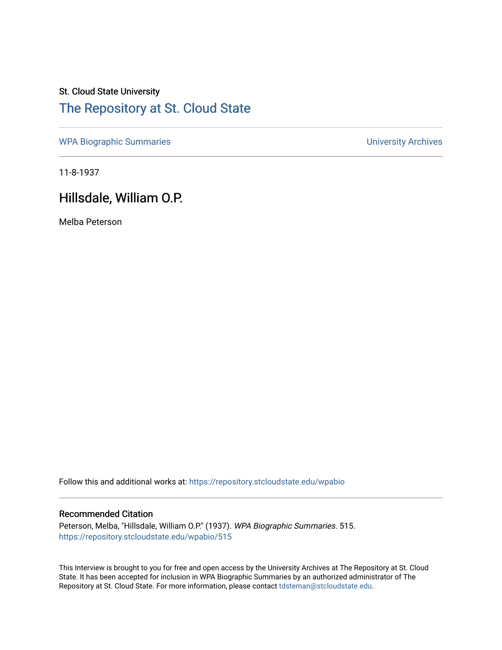# St. Cloud State University [The Repository at St. Cloud State](https://repository.stcloudstate.edu/)

[WPA Biographic Summaries](https://repository.stcloudstate.edu/wpabio) **WPA Biographic Summaries University Archives** 

11-8-1937

## Hillsdale, William O.P.

Melba Peterson

Follow this and additional works at: [https://repository.stcloudstate.edu/wpabio](https://repository.stcloudstate.edu/wpabio?utm_source=repository.stcloudstate.edu%2Fwpabio%2F515&utm_medium=PDF&utm_campaign=PDFCoverPages) 

#### Recommended Citation

Peterson, Melba, "Hillsdale, William O.P." (1937). WPA Biographic Summaries. 515. [https://repository.stcloudstate.edu/wpabio/515](https://repository.stcloudstate.edu/wpabio/515?utm_source=repository.stcloudstate.edu%2Fwpabio%2F515&utm_medium=PDF&utm_campaign=PDFCoverPages) 

This Interview is brought to you for free and open access by the University Archives at The Repository at St. Cloud State. It has been accepted for inclusion in WPA Biographic Summaries by an authorized administrator of The Repository at St. Cloud State. For more information, please contact [tdsteman@stcloudstate.edu.](mailto:tdsteman@stcloudstate.edu)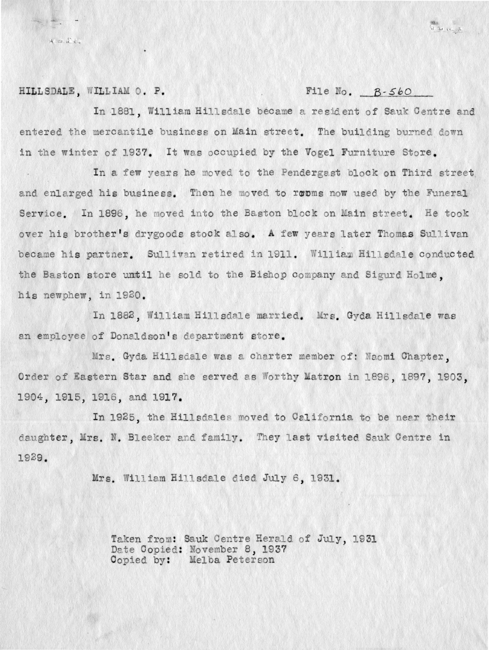HILLSDALE, WILLIAM O. P.

xxx it

#### File No.  $B-560$

書<br>兄 エ (人)

In 1881. William Hillsdale became a resident of Sauk Centre and entered the mercantile business on Main street. The building burned down in the winter of 1937. It was occupied by the Vogel Furniture Store.

In a few years he moved to the Pendergast block on Third street and enlarged his business. Then he moved to rooms now used by the Funeral Service. In 1896, he moved into the Baston block on Main street. He took over his brother's drygoods stock also. A few years later Thomas Sullivan became his partner. Sullivan retired in 1911. William Hillsdale conducted the Baston store until he sold to the Bishop company and Sigurd Holme. his newphew, in 1920.

In 1882, William Hillsdale married. Mrs. Gyda Hillsdale was an employee of Donaldson's department store.

Mrs. Gyda Hillsdale was a charter member of: Naomi Chapter, Order of Eastern Star and she served as Worthy Matron in 1896, 1897, 1903, 1904, 1915, 1916, and 1917.

In 1925, the Hillsdales moved to California to be near their daughter, Mrs. N. Bleeker and family. They last visited Sauk Centre in 1929.

Mrs. William Hillsdale died July 6, 1931.

Taken from: Sauk Centre Herald of July, 1931 Date Copied: November 8, 1937<br>Copied by: Melba Peterson